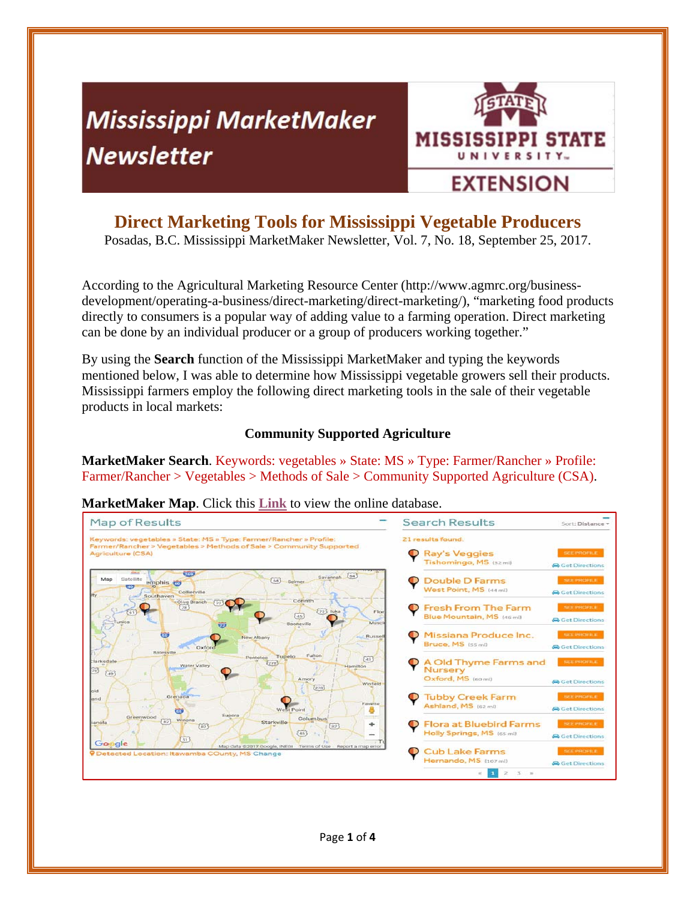# **Mississippi MarketMaker Newsletter**



## **Direct Marketing Tools for Mississippi Vegetable Producers**

Posadas, B.C. Mississippi MarketMaker Newsletter, Vol. 7, No. 18, September 25, 2017.

According to the Agricultural Marketing Resource Center (http://www.agmrc.org/businessdevelopment/operating-a-business/direct-marketing/direct-marketing/), "marketing food products directly to consumers is a popular way of adding value to a farming operation. Direct marketing can be done by an individual producer or a group of producers working together."

By using the **Search** function of the Mississippi MarketMaker and typing the keywords mentioned below, I was able to determine how Mississippi vegetable growers sell their products. Mississippi farmers employ the following direct marketing tools in the sale of their vegetable products in local markets:

#### **Community Supported Agriculture**

**MarketMaker Search**. Keywords: vegetables » State: MS » Type: Farmer/Rancher » Profile: Farmer/Rancher > Vegetables > Methods of Sale > Community Supported Agriculture (CSA).

**MarketMaker Map**. Click this **Link** to view the online database.

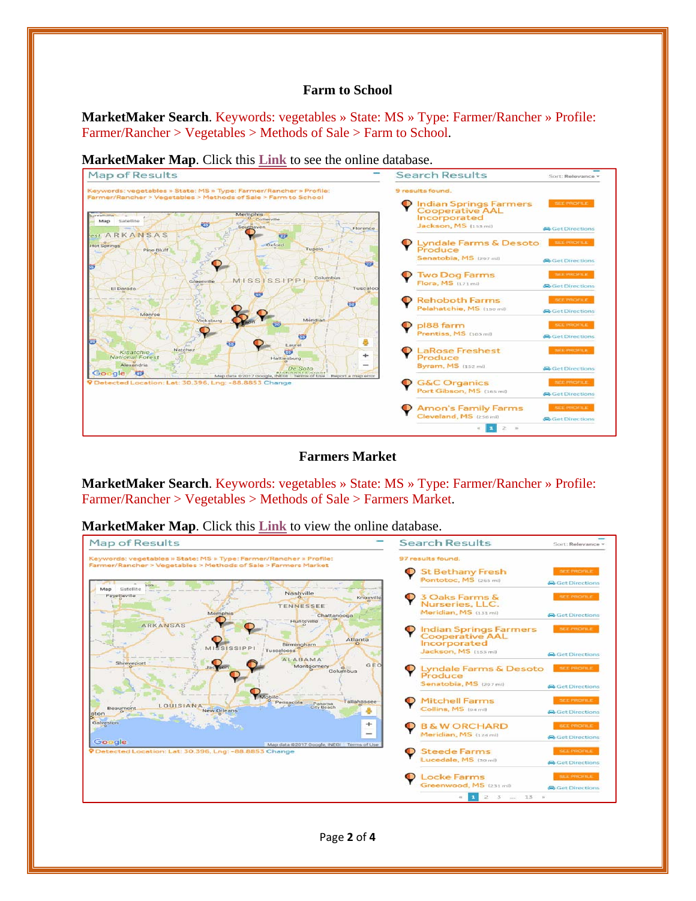#### **Farm to School**

**MarketMaker Search**. Keywords: vegetables » State: MS » Type: Farmer/Rancher » Profile: Farmer/Rancher > Vegetables > Methods of Sale > Farm to School.



**MarketMaker Map**. Click this **Link** to see the online database.

**Farmers Market** 

**MarketMaker Search**. Keywords: vegetables » State: MS » Type: Farmer/Rancher » Profile: Farmer/Rancher > Vegetables > Methods of Sale > Farmers Market.

**MarketMaker Map**. Click this **Link** to view the online database.

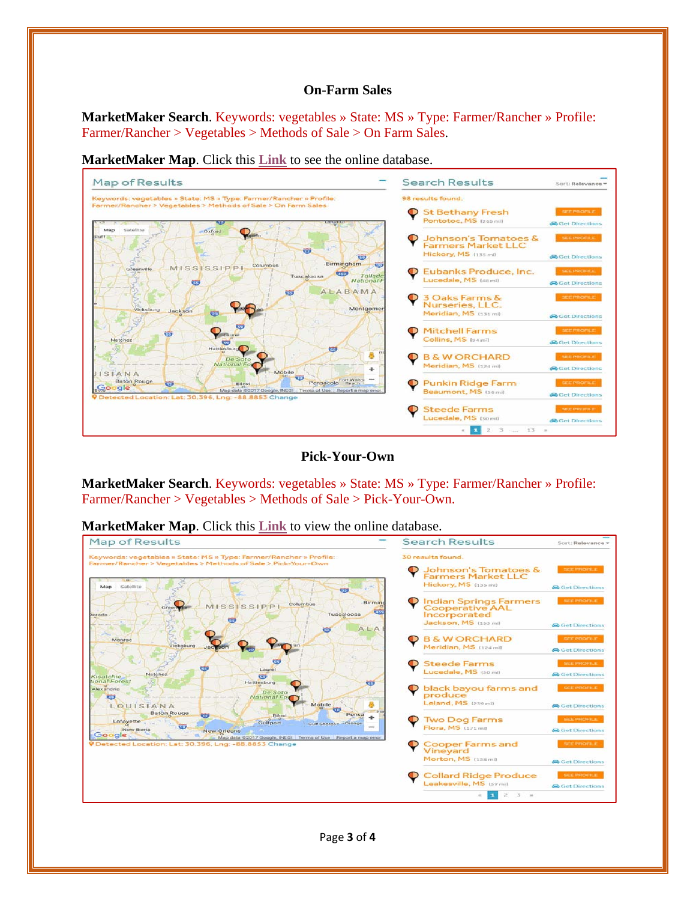#### **On-Farm Sales**

**MarketMaker Search**. Keywords: vegetables » State: MS » Type: Farmer/Rancher » Profile: Farmer/Rancher > Vegetables > Methods of Sale > On Farm Sales.

**MarketMaker Map**. Click this **Link** to see the online database.



**Pick-Your-Own** 

**MarketMaker Search**. Keywords: vegetables » State: MS » Type: Farmer/Rancher » Profile: Farmer/Rancher > Vegetables > Methods of Sale > Pick-Your-Own.

**MarketMaker Map**. Click this **Link** to view the online database.